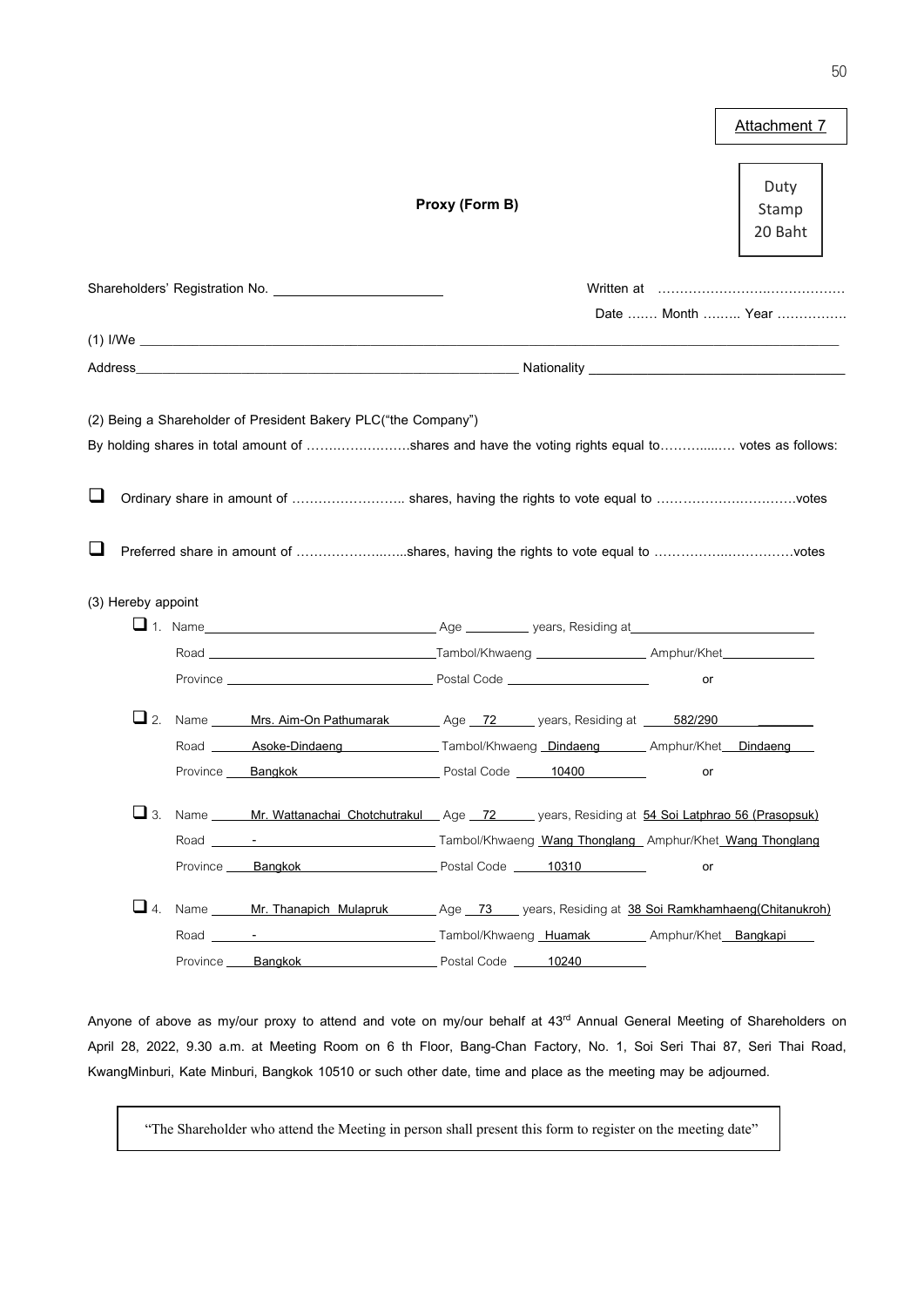|                              |                                                                                                                                                                                                                                                                     |                |                   |    | Attachment 7             |
|------------------------------|---------------------------------------------------------------------------------------------------------------------------------------------------------------------------------------------------------------------------------------------------------------------|----------------|-------------------|----|--------------------------|
|                              |                                                                                                                                                                                                                                                                     | Proxy (Form B) |                   |    | Duty<br>Stamp<br>20 Baht |
|                              |                                                                                                                                                                                                                                                                     |                |                   |    |                          |
|                              |                                                                                                                                                                                                                                                                     |                |                   |    | Date  Month  Year        |
|                              |                                                                                                                                                                                                                                                                     |                |                   |    |                          |
|                              |                                                                                                                                                                                                                                                                     |                |                   |    |                          |
| ⊔<br>⊔<br>(3) Hereby appoint | By holding shares in total amount of shares and have the voting rights equal to votes as follows:<br>Ordinary share in amount of  shares, having the rights to vote equal to votes<br>Preferred share in amount of shares, having the rights to vote equal to votes |                |                   |    |                          |
|                              |                                                                                                                                                                                                                                                                     |                |                   |    |                          |
|                              |                                                                                                                                                                                                                                                                     |                |                   |    |                          |
|                              |                                                                                                                                                                                                                                                                     |                |                   | or |                          |
| $\Box$ 2.                    | Name ______ Mrs. Aim-On Pathumarak _______ Age __72 _____ years, Residing at _____ 582/290                                                                                                                                                                          |                |                   |    |                          |
|                              | Road <b>_______Asoke-Dindaeng</b> ________________Tambol/Khwaeng __Dindaeng __________ Amphur/Khet ___Dindaeng                                                                                                                                                      |                |                   |    |                          |
|                              | Province Bangkok <b>Example 10400</b> Postal Code 10400                                                                                                                                                                                                             |                |                   | or |                          |
|                              | Name _____ Mr. Wattanachai Chotchutrakul Age 72 ____ years, Residing at 54 Soi Latphrao 56 (Prasopsuk)<br>Province Bangkok Province Bangkok Research Postal Code 10310                                                                                              |                |                   | or |                          |
| $\Box$ 4.                    | Name Mr. Thanapich Mulapruk Age 73 years, Residing at 38 Soi Ramkhamhaeng(Chitanukroh)                                                                                                                                                                              |                |                   |    |                          |
|                              |                                                                                                                                                                                                                                                                     |                |                   |    |                          |
|                              | Province Bangkok                                                                                                                                                                                                                                                    |                | Postal Code 10240 |    |                          |

Anyone of above as my/our proxy to attend and vote on my/our behalf at 43<sup>rd</sup> Annual General Meeting of Shareholders on April 28, 2022, 9.30 a.m. at Meeting Room on 6 th Floor, Bang-Chan Factory, No. 1, Soi Seri Thai 87, Seri Thai Road, KwangMinburi, Kate Minburi, Bangkok 10510 or such other date, time and place as the meeting may be adjourned.

"The Shareholder who attend the Meeting in person shall present this form to register on the meeting date"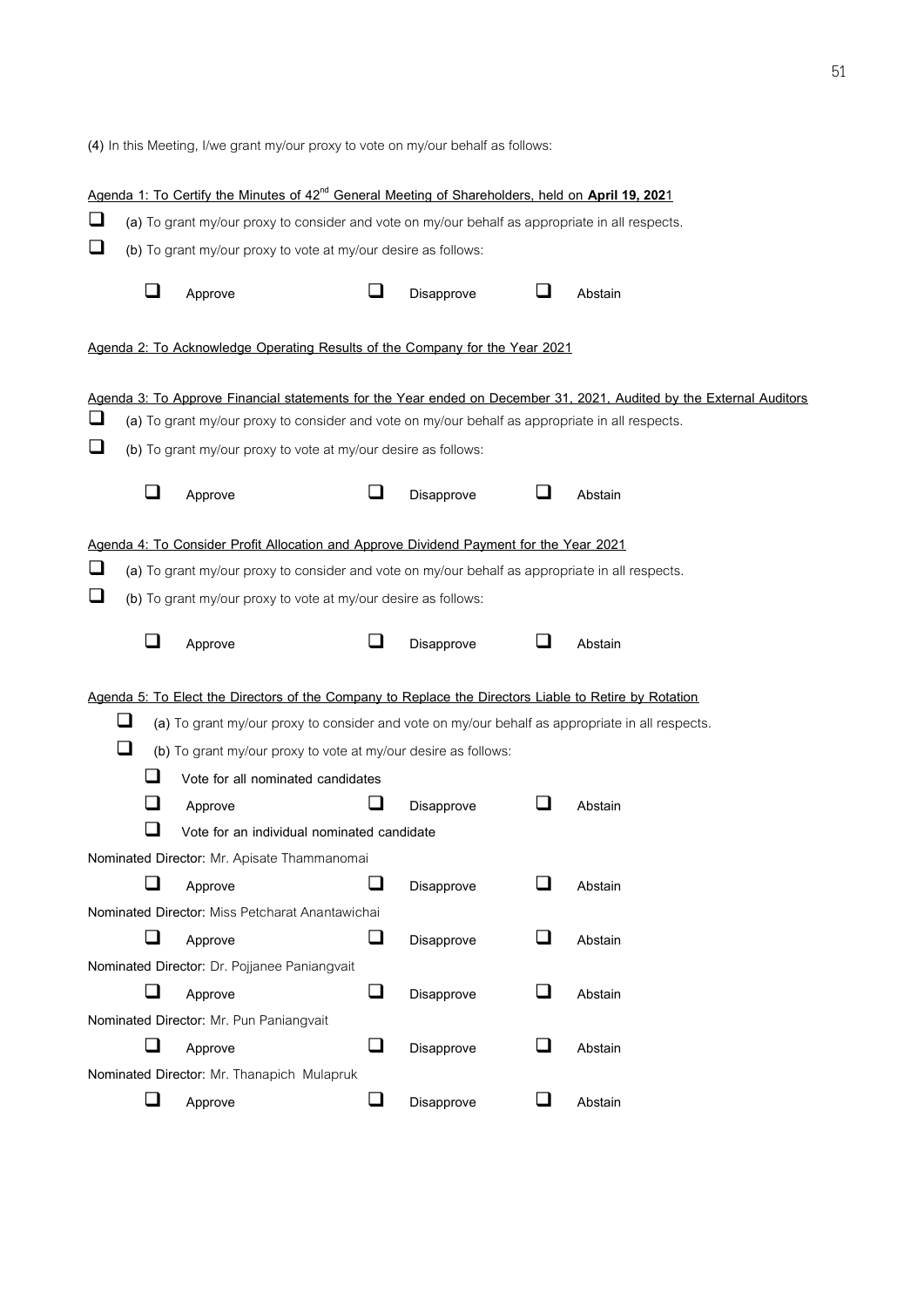(4) In this Meeting, I/we grant my/our proxy to vote on my/our behalf as follows:

|        |                          | Agenda 1: To Certify the Minutes of 42 <sup>nd</sup> General Meeting of Shareholders, held on April 19, 2021                                                                              |        |            |                             |                                                                                                                     |
|--------|--------------------------|-------------------------------------------------------------------------------------------------------------------------------------------------------------------------------------------|--------|------------|-----------------------------|---------------------------------------------------------------------------------------------------------------------|
| $\Box$ |                          | (a) To grant my/our proxy to consider and vote on my/our behalf as appropriate in all respects.                                                                                           |        |            |                             |                                                                                                                     |
| ❏      |                          | (b) To grant my/our proxy to vote at my/our desire as follows:                                                                                                                            |        |            |                             |                                                                                                                     |
|        | $\sim$                   | Approve                                                                                                                                                                                   | ப      | Disapprove |                             | Abstain                                                                                                             |
|        |                          | Agenda 2: To Acknowledge Operating Results of the Company for the Year 2021                                                                                                               |        |            |                             |                                                                                                                     |
|        |                          |                                                                                                                                                                                           |        |            |                             | Agenda 3: To Approve Financial statements for the Year ended on December 31, 2021, Audited by the External Auditors |
| u      |                          | (a) To grant my/our proxy to consider and vote on my/our behalf as appropriate in all respects.                                                                                           |        |            |                             |                                                                                                                     |
| ❏      |                          | (b) To grant my/our proxy to vote at my/our desire as follows:                                                                                                                            |        |            |                             |                                                                                                                     |
|        | ⊔                        | Approve                                                                                                                                                                                   | $\Box$ | Disapprove | ⊔                           | Abstain                                                                                                             |
| $\Box$ |                          | Agenda 4: To Consider Profit Allocation and Approve Dividend Payment for the Year 2021<br>(a) To grant my/our proxy to consider and vote on my/our behalf as appropriate in all respects. |        |            |                             |                                                                                                                     |
| ❏      |                          | (b) To grant my/our proxy to vote at my/our desire as follows:                                                                                                                            |        |            |                             |                                                                                                                     |
|        |                          | Approve                                                                                                                                                                                   |        | Disapprove |                             | Abstain                                                                                                             |
|        |                          | Agenda 5: To Elect the Directors of the Company to Replace the Directors Liable to Retire by Rotation                                                                                     |        |            |                             |                                                                                                                     |
|        | ❏                        | (a) To grant my/our proxy to consider and vote on my/our behalf as appropriate in all respects.                                                                                           |        |            |                             |                                                                                                                     |
|        | ❏                        | (b) To grant my/our proxy to vote at my/our desire as follows:                                                                                                                            |        |            |                             |                                                                                                                     |
|        |                          | Vote for all nominated candidates                                                                                                                                                         |        |            |                             |                                                                                                                     |
|        | ┚                        | Approve                                                                                                                                                                                   |        | Disapprove |                             | Abstain                                                                                                             |
|        |                          | Vote for an individual nominated candidate                                                                                                                                                |        |            |                             |                                                                                                                     |
|        |                          | Nominated Director: Mr. Apisate Thammanomai                                                                                                                                               |        |            |                             |                                                                                                                     |
|        |                          | Approve                                                                                                                                                                                   |        | Disapprove |                             | Abstain                                                                                                             |
|        |                          | Nominated Director: Miss Petcharat Anantawichai                                                                                                                                           |        |            |                             |                                                                                                                     |
|        | $\overline{\phantom{a}}$ | Approve                                                                                                                                                                                   | ❏      | Disapprove | $\mathcal{L}_{\mathcal{A}}$ | Abstain                                                                                                             |
|        |                          | Nominated Director: Dr. Pojjanee Paniangvait                                                                                                                                              |        |            |                             |                                                                                                                     |
|        |                          | Approve                                                                                                                                                                                   | ❏      | Disapprove |                             | Abstain                                                                                                             |
|        |                          | Nominated Director: Mr. Pun Paniangvait                                                                                                                                                   |        |            |                             |                                                                                                                     |
|        |                          | Approve                                                                                                                                                                                   | $\Box$ | Disapprove |                             | Abstain                                                                                                             |
|        |                          | Nominated Director: Mr. Thanapich Mulapruk                                                                                                                                                |        |            |                             |                                                                                                                     |
|        | ⊔                        | Approve                                                                                                                                                                                   | $\Box$ | Disapprove |                             | Abstain                                                                                                             |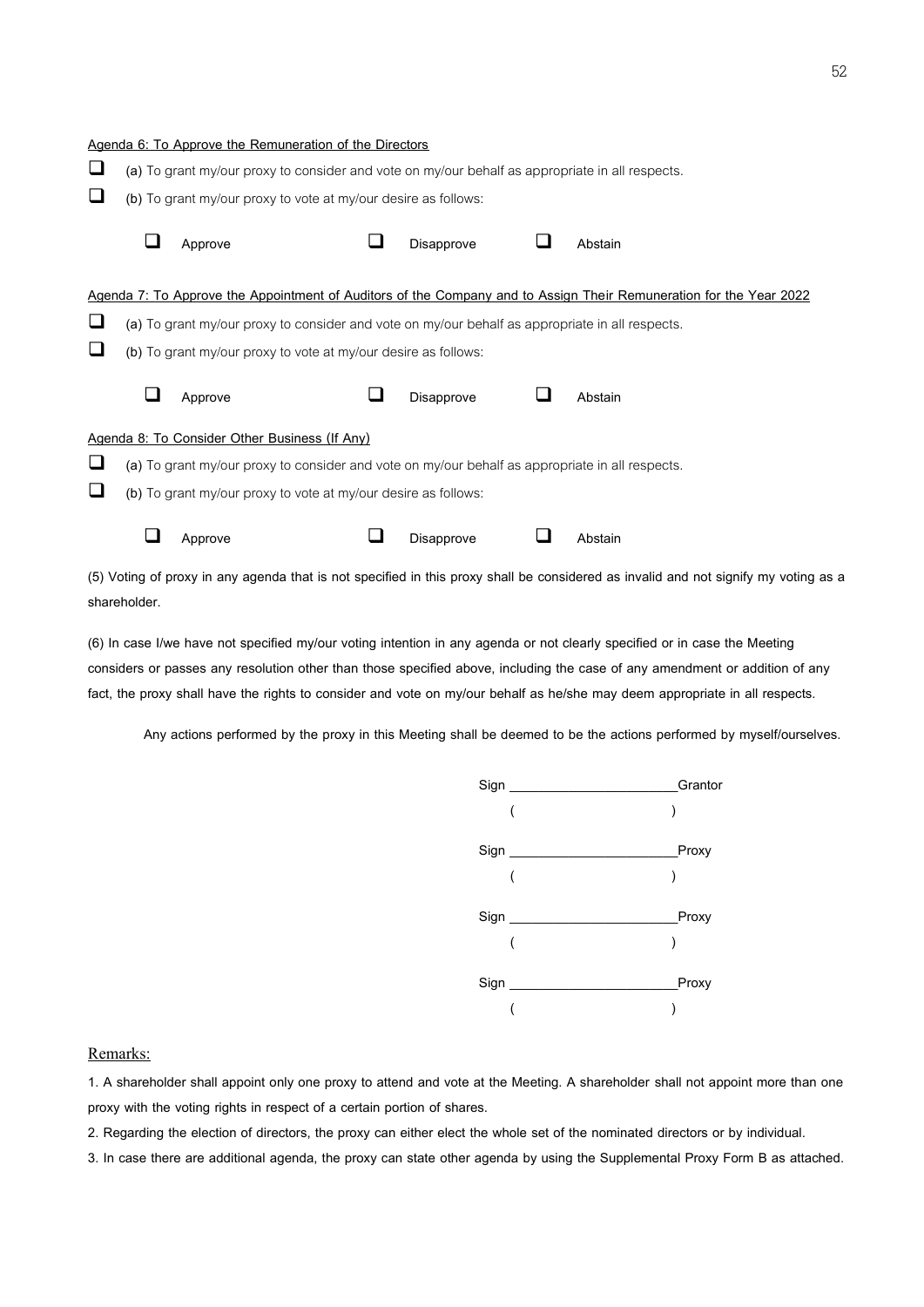|   | Agenda 6: To Approve the Remuneration of the Directors         |  |            |                                                                                                                    |                                                                                                                                     |
|---|----------------------------------------------------------------|--|------------|--------------------------------------------------------------------------------------------------------------------|-------------------------------------------------------------------------------------------------------------------------------------|
| ⊔ |                                                                |  |            | (a) To grant my/our proxy to consider and vote on my/our behalf as appropriate in all respects.                    |                                                                                                                                     |
| ⊔ | (b) To grant my/our proxy to vote at my/our desire as follows: |  |            |                                                                                                                    |                                                                                                                                     |
|   | Approve                                                        |  | Disapprove | Abstain                                                                                                            |                                                                                                                                     |
|   |                                                                |  |            | Agenda 7: To Approve the Appointment of Auditors of the Company and to Assign Their Remuneration for the Year 2022 |                                                                                                                                     |
| ⊔ |                                                                |  |            | (a) To grant my/our proxy to consider and vote on my/our behalf as appropriate in all respects.                    |                                                                                                                                     |
| ⊔ | (b) To grant my/our proxy to vote at my/our desire as follows: |  |            |                                                                                                                    |                                                                                                                                     |
|   | Approve                                                        |  | Disapprove | Abstain                                                                                                            |                                                                                                                                     |
|   | Agenda 8: To Consider Other Business (If Any)                  |  |            |                                                                                                                    |                                                                                                                                     |
| ⊔ |                                                                |  |            | (a) To grant my/our proxy to consider and vote on my/our behalf as appropriate in all respects.                    |                                                                                                                                     |
| ⊔ | (b) To grant my/our proxy to vote at my/our desire as follows: |  |            |                                                                                                                    |                                                                                                                                     |
|   | Approve                                                        |  | Disapprove | Abstain                                                                                                            |                                                                                                                                     |
|   |                                                                |  |            |                                                                                                                    | (5) Voting of proxy in any agenda that is not specified in this proxy shall be considered as invalid and not signify my voting as a |

shareholder.

(6) In case I/we have not specified my/our voting intention in any agenda or not clearly specified or in case the Meeting considers or passes any resolution other than those specified above, including the case of any amendment or addition of any fact, the proxy shall have the rights to consider and vote on my/our behalf as he/she may deem appropriate in all respects.

Any actions performed by the proxy in this Meeting shall be deemed to be the actions performed by myself/ourselves.



## Remarks:

1. A shareholder shall appoint only one proxy to attend and vote at the Meeting. A shareholder shall not appoint more than one proxy with the voting rights in respect of a certain portion of shares.

2. Regarding the election of directors, the proxy can either elect the whole set of the nominated directors or by individual.

3. In case there are additional agenda, the proxy can state other agenda by using the Supplemental Proxy Form B as attached.